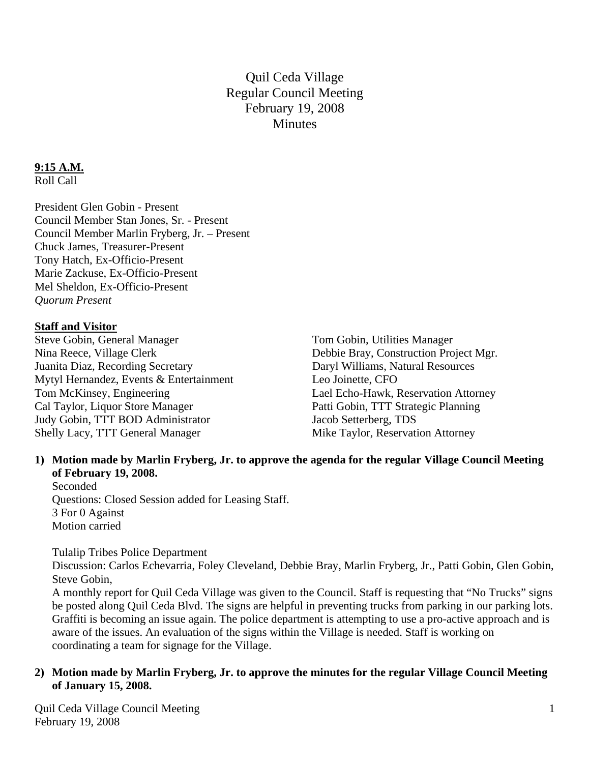Quil Ceda Village Regular Council Meeting February 19, 2008 **Minutes** 

# **9:15 A.M.**

Roll Call

President Glen Gobin - Present Council Member Stan Jones, Sr. - Present Council Member Marlin Fryberg, Jr. – Present Chuck James, Treasurer-Present Tony Hatch, Ex-Officio-Present Marie Zackuse, Ex-Officio-Present Mel Sheldon, Ex-Officio-Present *Quorum Present* 

#### **Staff and Visitor**

Steve Gobin, General Manager Tom Gobin, Utilities Manager Nina Reece, Village Clerk Debbie Bray, Construction Project Mgr. Juanita Diaz, Recording Secretary Daryl Williams, Natural Resources Mytyl Hernandez, Events & Entertainment Leo Joinette, CFO Tom McKinsey, Engineering Lael Echo-Hawk, Reservation Attorney Cal Taylor, Liquor Store Manager Patti Gobin, TTT Strategic Planning Judy Gobin, TTT BOD Administrator Jacob Setterberg, TDS Shelly Lacy, TTT General Manager Mike Taylor, Reservation Attorney

## **1) Motion made by Marlin Fryberg, Jr. to approve the agenda for the regular Village Council Meeting of February 19, 2008.**

Seconded Questions: Closed Session added for Leasing Staff. 3 For 0 Against Motion carried

Tulalip Tribes Police Department

Discussion: Carlos Echevarria, Foley Cleveland, Debbie Bray, Marlin Fryberg, Jr., Patti Gobin, Glen Gobin, Steve Gobin,

A monthly report for Quil Ceda Village was given to the Council. Staff is requesting that "No Trucks" signs be posted along Quil Ceda Blvd. The signs are helpful in preventing trucks from parking in our parking lots. Graffiti is becoming an issue again. The police department is attempting to use a pro-active approach and is aware of the issues. An evaluation of the signs within the Village is needed. Staff is working on coordinating a team for signage for the Village.

## **2) Motion made by Marlin Fryberg, Jr. to approve the minutes for the regular Village Council Meeting of January 15, 2008.**

Quil Ceda Village Council Meeting February 19, 2008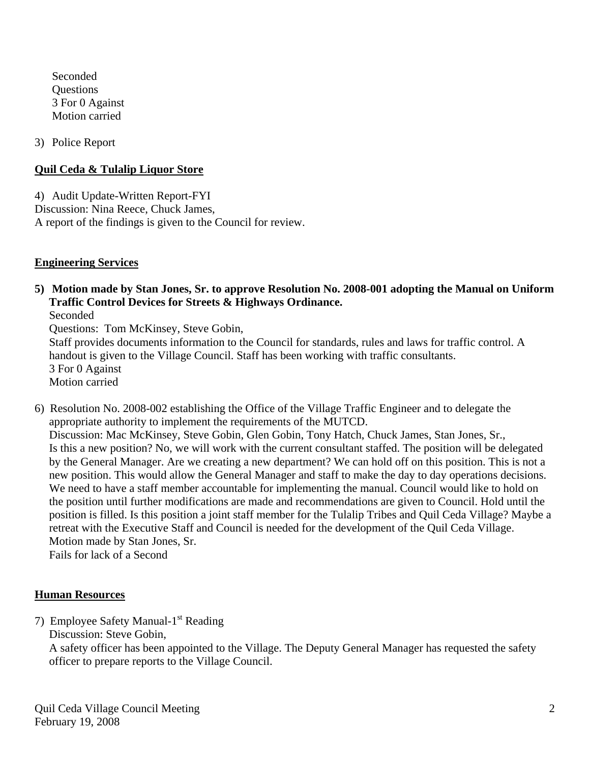Seconded **Ouestions** 3 For 0 Against Motion carried

3) Police Report

## **Quil Ceda & Tulalip Liquor Store**

4) Audit Update-Written Report-FYI Discussion: Nina Reece, Chuck James, A report of the findings is given to the Council for review.

## **Engineering Services**

**5) Motion made by Stan Jones, Sr. to approve Resolution No. 2008-001 adopting the Manual on Uniform Traffic Control Devices for Streets & Highways Ordinance.** 

Seconded

Questions: Tom McKinsey, Steve Gobin,

 Staff provides documents information to the Council for standards, rules and laws for traffic control. A handout is given to the Village Council. Staff has been working with traffic consultants. 3 For 0 Against Motion carried

6) Resolution No. 2008-002 establishing the Office of the Village Traffic Engineer and to delegate the appropriate authority to implement the requirements of the MUTCD. Discussion: Mac McKinsey, Steve Gobin, Glen Gobin, Tony Hatch, Chuck James, Stan Jones, Sr., Is this a new position? No, we will work with the current consultant staffed. The position will be delegated by the General Manager. Are we creating a new department? We can hold off on this position. This is not a new position. This would allow the General Manager and staff to make the day to day operations decisions. We need to have a staff member accountable for implementing the manual. Council would like to hold on the position until further modifications are made and recommendations are given to Council. Hold until the position is filled. Is this position a joint staff member for the Tulalip Tribes and Quil Ceda Village? Maybe a retreat with the Executive Staff and Council is needed for the development of the Quil Ceda Village. Motion made by Stan Jones, Sr.

Fails for lack of a Second

## **Human Resources**

7) Employee Safety Manual-1<sup>st</sup> Reading Discussion: Steve Gobin,

 A safety officer has been appointed to the Village. The Deputy General Manager has requested the safety officer to prepare reports to the Village Council.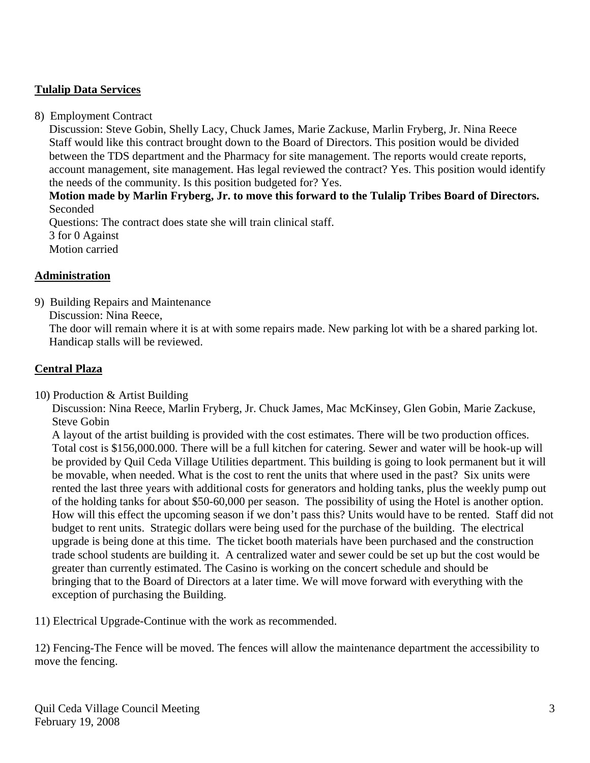## **Tulalip Data Services**

8) Employment Contract

 Discussion: Steve Gobin, Shelly Lacy, Chuck James, Marie Zackuse, Marlin Fryberg, Jr. Nina Reece Staff would like this contract brought down to the Board of Directors. This position would be divided between the TDS department and the Pharmacy for site management. The reports would create reports, account management, site management. Has legal reviewed the contract? Yes. This position would identify the needs of the community. Is this position budgeted for? Yes.

 **Motion made by Marlin Fryberg, Jr. to move this forward to the Tulalip Tribes Board of Directors.**  Seconded

 Questions: The contract does state she will train clinical staff. 3 for 0 Against Motion carried

#### **Administration**

9) Building Repairs and Maintenance

Discussion: Nina Reece,

 The door will remain where it is at with some repairs made. New parking lot with be a shared parking lot. Handicap stalls will be reviewed.

#### **Central Plaza**

10) Production & Artist Building

 Discussion: Nina Reece, Marlin Fryberg, Jr. Chuck James, Mac McKinsey, Glen Gobin, Marie Zackuse, Steve Gobin

 A layout of the artist building is provided with the cost estimates. There will be two production offices. Total cost is \$156,000.000. There will be a full kitchen for catering. Sewer and water will be hook-up will be provided by Quil Ceda Village Utilities department. This building is going to look permanent but it will be movable, when needed. What is the cost to rent the units that where used in the past? Six units were rented the last three years with additional costs for generators and holding tanks, plus the weekly pump out of the holding tanks for about \$50-60,000 per season. The possibility of using the Hotel is another option. How will this effect the upcoming season if we don't pass this? Units would have to be rented. Staff did not budget to rent units. Strategic dollars were being used for the purchase of the building. The electrical upgrade is being done at this time. The ticket booth materials have been purchased and the construction trade school students are building it. A centralized water and sewer could be set up but the cost would be greater than currently estimated. The Casino is working on the concert schedule and should be bringing that to the Board of Directors at a later time. We will move forward with everything with the exception of purchasing the Building.

11) Electrical Upgrade-Continue with the work as recommended.

12) Fencing-The Fence will be moved. The fences will allow the maintenance department the accessibility to move the fencing.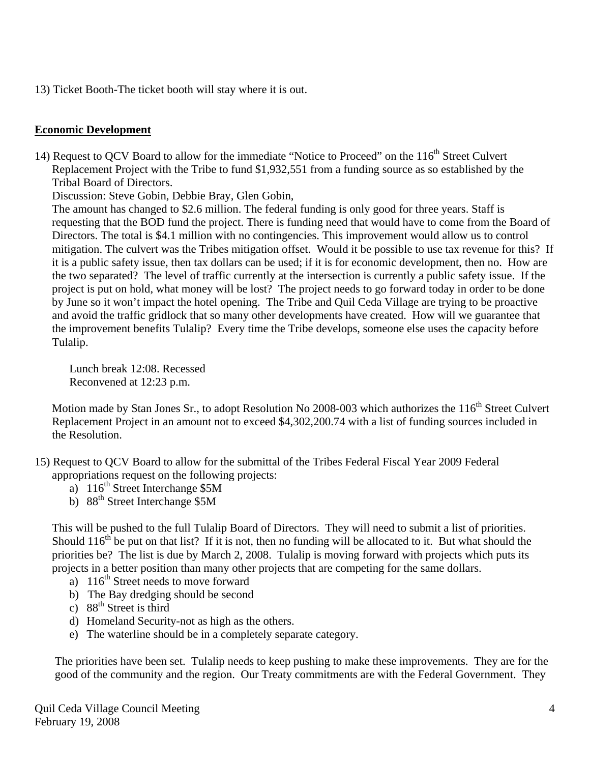13) Ticket Booth-The ticket booth will stay where it is out.

#### **Economic Development**

14) Request to QCV Board to allow for the immediate "Notice to Proceed" on the 116<sup>th</sup> Street Culvert Replacement Project with the Tribe to fund \$1,932,551 from a funding source as so established by the Tribal Board of Directors.

Discussion: Steve Gobin, Debbie Bray, Glen Gobin,

 The amount has changed to \$2.6 million. The federal funding is only good for three years. Staff is requesting that the BOD fund the project. There is funding need that would have to come from the Board of Directors. The total is \$4.1 million with no contingencies. This improvement would allow us to control mitigation. The culvert was the Tribes mitigation offset. Would it be possible to use tax revenue for this? If it is a public safety issue, then tax dollars can be used; if it is for economic development, then no. How are the two separated? The level of traffic currently at the intersection is currently a public safety issue. If the project is put on hold, what money will be lost? The project needs to go forward today in order to be done by June so it won't impact the hotel opening. The Tribe and Quil Ceda Village are trying to be proactive and avoid the traffic gridlock that so many other developments have created. How will we guarantee that the improvement benefits Tulalip? Every time the Tribe develops, someone else uses the capacity before Tulalip.

Lunch break 12:08. Recessed Reconvened at 12:23 p.m.

Motion made by Stan Jones Sr., to adopt Resolution No 2008-003 which authorizes the 116<sup>th</sup> Street Culvert Replacement Project in an amount not to exceed \$4,302,200.74 with a list of funding sources included in the Resolution.

15) Request to QCV Board to allow for the submittal of the Tribes Federal Fiscal Year 2009 Federal appropriations request on the following projects:

- a)  $116^{th}$  Street Interchange \$5M
- b)  $88<sup>th</sup>$  Street Interchange \$5M

 This will be pushed to the full Tulalip Board of Directors. They will need to submit a list of priorities. Should  $116<sup>th</sup>$  be put on that list? If it is not, then no funding will be allocated to it. But what should the priorities be? The list is due by March 2, 2008. Tulalip is moving forward with projects which puts its projects in a better position than many other projects that are competing for the same dollars.

- a)  $116^{th}$  Street needs to move forward
- b) The Bay dredging should be second
- c)  $88<sup>th</sup>$  Street is third
- d) Homeland Security-not as high as the others.
- e) The waterline should be in a completely separate category.

 The priorities have been set. Tulalip needs to keep pushing to make these improvements. They are for the good of the community and the region. Our Treaty commitments are with the Federal Government. They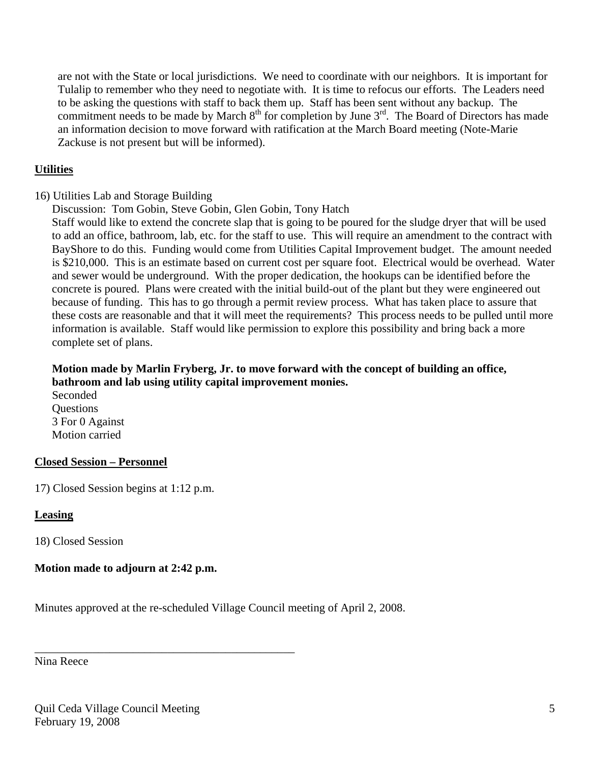are not with the State or local jurisdictions. We need to coordinate with our neighbors. It is important for Tulalip to remember who they need to negotiate with. It is time to refocus our efforts. The Leaders need to be asking the questions with staff to back them up. Staff has been sent without any backup. The commitment needs to be made by March  $8<sup>th</sup>$  for completion by June  $3<sup>rd</sup>$ . The Board of Directors has made an information decision to move forward with ratification at the March Board meeting (Note-Marie Zackuse is not present but will be informed).

## **Utilities**

- 16) Utilities Lab and Storage Building
	- Discussion: Tom Gobin, Steve Gobin, Glen Gobin, Tony Hatch

 Staff would like to extend the concrete slap that is going to be poured for the sludge dryer that will be used to add an office, bathroom, lab, etc. for the staff to use. This will require an amendment to the contract with BayShore to do this. Funding would come from Utilities Capital Improvement budget. The amount needed is \$210,000. This is an estimate based on current cost per square foot. Electrical would be overhead. Water and sewer would be underground. With the proper dedication, the hookups can be identified before the concrete is poured. Plans were created with the initial build-out of the plant but they were engineered out because of funding. This has to go through a permit review process. What has taken place to assure that these costs are reasonable and that it will meet the requirements? This process needs to be pulled until more information is available. Staff would like permission to explore this possibility and bring back a more complete set of plans.

## **Motion made by Marlin Fryberg, Jr. to move forward with the concept of building an office, bathroom and lab using utility capital improvement monies.**

 Seconded **Ouestions**  3 For 0 Against Motion carried

## **Closed Session – Personnel**

17) Closed Session begins at 1:12 p.m.

## **Leasing**

18) Closed Session

## **Motion made to adjourn at 2:42 p.m.**

\_\_\_\_\_\_\_\_\_\_\_\_\_\_\_\_\_\_\_\_\_\_\_\_\_\_\_\_\_\_\_\_\_\_\_\_\_\_\_\_\_\_\_\_\_

Minutes approved at the re-scheduled Village Council meeting of April 2, 2008.

Nina Reece